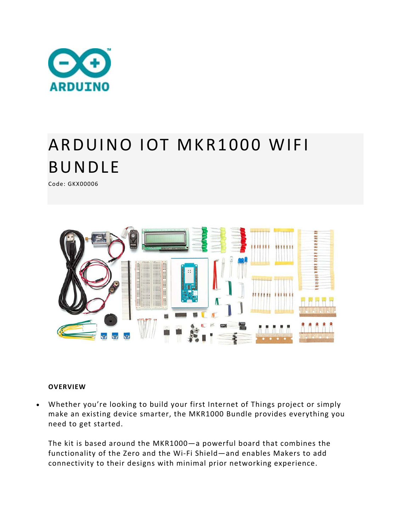

## ARDUINO IOT MKR1000 WIFI BUNDLE

Code: GKX00006



## **OVERVIEW**

 Whether you're looking to build your first Internet of Things project or simply make an existing device smarter, the MKR1000 Bundle provides everything you need to get started.

The kit is based around the MKR1000—a powerful board that combines the functionality of the Zero and the Wi‐Fi Shield—and enables Makers to add connectivity to their designs with minimal prior networking experience.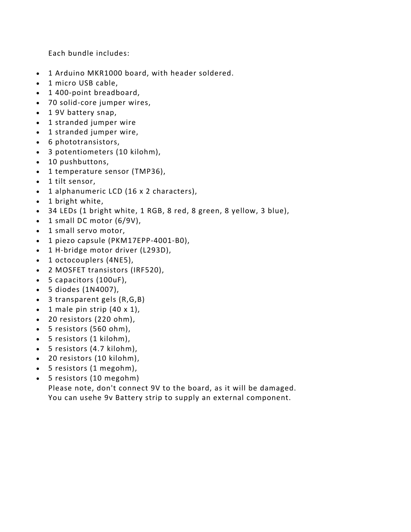Each bundle includes:

- 1 Arduino MKR1000 board, with header soldered.
- 1 micro USB cable,
- 1400-point breadboard,
- 70 solid‐core jumper wires,
- 1 9V battery snap,
- 1 stranded jumper wire
- 1 stranded jumper wire,
- 6 phototransistors,
- 3 potentiometers (10 kilohm),
- 10 pushbuttons,
- 1 temperature sensor (TMP36),
- 1 tilt sensor,
- 1 alphanumeric LCD (16 x 2 characters),
- 1 bright white,
- 34 LEDs (1 bright white, 1 RGB, 8 red, 8 green, 8 yellow, 3 blue),
- $\bullet$  1 small DC motor (6/9V),
- 1 small servo motor,
- 1 piezo capsule (PKM17EPP-4001-B0),
- 1 H-bridge motor driver (L293D),
- 1 octocouplers (4NE5),
- 2 MOSFET transistors (IRF520),
- 5 capacitors (100uF),
- 5 diodes (1N4007),
- 3 transparent gels (R,G,B)
- $\bullet$  1 male pin strip (40 x 1),
- 20 resistors (220 ohm),
- 5 resistors (560 ohm),
- 5 resistors (1 kilohm),
- 5 resistors (4.7 kilohm),
- 20 resistors (10 kilohm),
- 5 resistors (1 megohm),
- 5 resistors (10 megohm)

Please note, don't connect 9V to the board, as it will be damaged. You can usehe 9v Battery strip to supply an external component.